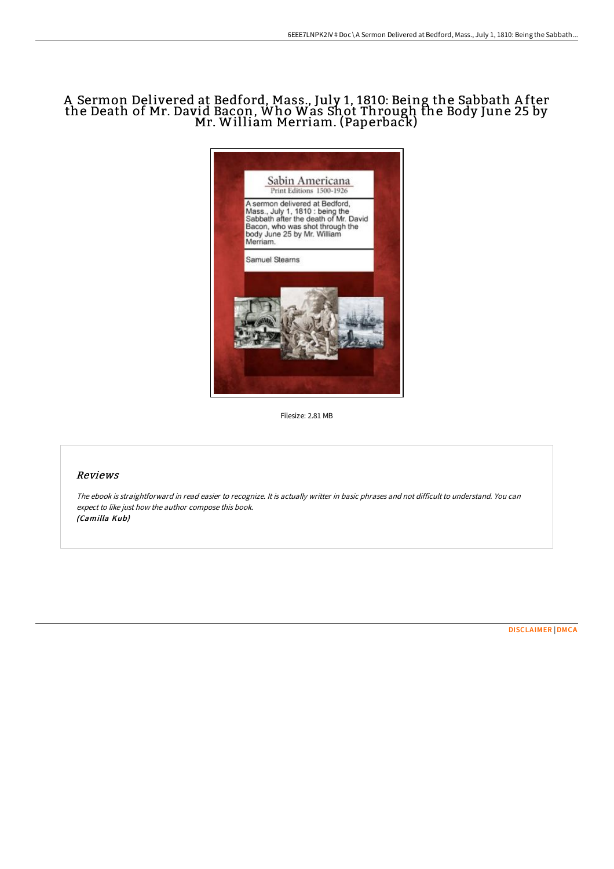# A Sermon Delivered at Bedford, Mass., July 1, 1810: Being the Sabbath A fter the Death of Mr. David Bacon, Who Was Shot Through the Body June <sup>25</sup> by Mr. William Merriam. (Paperback)



Filesize: 2.81 MB

## Reviews

The ebook is straightforward in read easier to recognize. It is actually writter in basic phrases and not difficult to understand. You can expect to like just how the author compose this book. (Camilla Kub)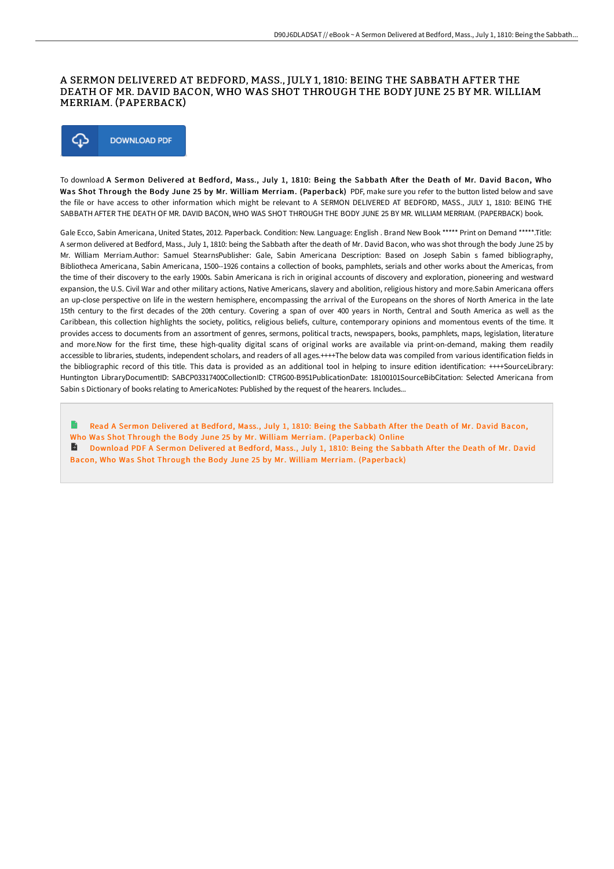#### A SERMON DELIVERED AT BEDFORD, MASS., JULY 1, 1810: BEING THE SABBATH AFTER THE DEATH OF MR. DAVID BACON, WHO WAS SHOT THROUGH THE BODY JUNE 25 BY MR. WILLIAM MERRIAM. (PAPERBACK)



To download A Sermon Delivered at Bedford, Mass., July 1, 1810: Being the Sabbath After the Death of Mr. David Bacon, Who Was Shot Through the Body June 25 by Mr. William Merriam. (Paperback) PDF, make sure you refer to the button listed below and save the file or have access to other information which might be relevant to A SERMON DELIVERED AT BEDFORD, MASS., JULY 1, 1810: BEING THE SABBATH AFTER THE DEATH OF MR. DAVID BACON, WHO WAS SHOT THROUGH THE BODY JUNE 25 BY MR. WILLIAM MERRIAM. (PAPERBACK) book.

Gale Ecco, Sabin Americana, United States, 2012. Paperback. Condition: New. Language: English . Brand New Book \*\*\*\*\* Print on Demand \*\*\*\*\*.Title: A sermon delivered at Bedford, Mass., July 1, 1810: being the Sabbath after the death of Mr. David Bacon, who was shot through the body June 25 by Mr. William Merriam.Author: Samuel StearnsPublisher: Gale, Sabin Americana Description: Based on Joseph Sabin s famed bibliography, Bibliotheca Americana, Sabin Americana, 1500--1926 contains a collection of books, pamphlets, serials and other works about the Americas, from the time of their discovery to the early 1900s. Sabin Americana is rich in original accounts of discovery and exploration, pioneering and westward expansion, the U.S. Civil War and other military actions, Native Americans, slavery and abolition, religious history and more.Sabin Americana offers an up-close perspective on life in the western hemisphere, encompassing the arrival of the Europeans on the shores of North America in the late 15th century to the first decades of the 20th century. Covering a span of over 400 years in North, Central and South America as well as the Caribbean, this collection highlights the society, politics, religious beliefs, culture, contemporary opinions and momentous events of the time. It provides access to documents from an assortment of genres, sermons, political tracts, newspapers, books, pamphlets, maps, legislation, literature and more.Now for the first time, these high-quality digital scans of original works are available via print-on-demand, making them readily accessible to libraries, students, independent scholars, and readers of all ages.++++The below data was compiled from various identification fields in the bibliographic record of this title. This data is provided as an additional tool in helping to insure edition identification: ++++SourceLibrary: Huntington LibraryDocumentID: SABCP03317400CollectionID: CTRG00-B951PublicationDate: 18100101SourceBibCitation: Selected Americana from Sabin s Dictionary of books relating to AmericaNotes: Published by the request of the hearers. Includes...

Read A Sermon Delivered at Bedford, Mass., July 1, 1810: Being the Sabbath After the Death of Mr. David Bacon, Who Was Shot Through the Body June 25 by Mr. William Merriam. [\(Paperback\)](http://techno-pub.tech/a-sermon-delivered-at-bedford-mass-july-1-1810-b.html) Online Download PDF A Sermon Delivered at Bedford, Mass., July 1, 1810: Being the Sabbath After the Death of Mr. David Bacon, Who Was Shot Through the Body June 25 by Mr. William Merriam. [\(Paperback\)](http://techno-pub.tech/a-sermon-delivered-at-bedford-mass-july-1-1810-b.html)